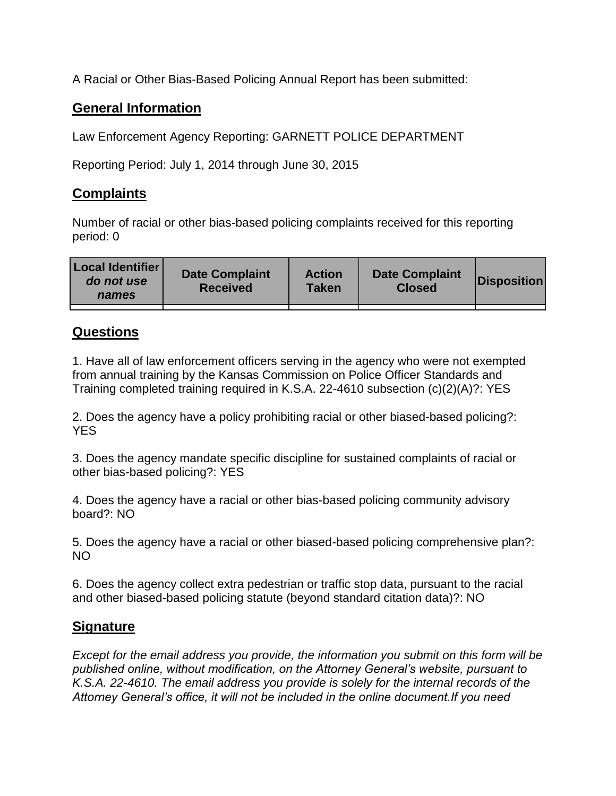A Racial or Other Bias-Based Policing Annual Report has been submitted:

## **General Information**

Law Enforcement Agency Reporting: GARNETT POLICE DEPARTMENT

Reporting Period: July 1, 2014 through June 30, 2015

## **Complaints**

Number of racial or other bias-based policing complaints received for this reporting period: 0

| <b>Local Identifier</b><br>do not use<br>names | <b>Date Complaint</b><br><b>Received</b> | <b>Action</b><br><b>Taken</b> | <b>Date Complaint</b><br><b>Closed</b> | Disposition |
|------------------------------------------------|------------------------------------------|-------------------------------|----------------------------------------|-------------|
|                                                |                                          |                               |                                        |             |

## **Questions**

1. Have all of law enforcement officers serving in the agency who were not exempted from annual training by the Kansas Commission on Police Officer Standards and Training completed training required in K.S.A. 22-4610 subsection (c)(2)(A)?: YES

2. Does the agency have a policy prohibiting racial or other biased-based policing?: YES

3. Does the agency mandate specific discipline for sustained complaints of racial or other bias-based policing?: YES

4. Does the agency have a racial or other bias-based policing community advisory board?: NO

5. Does the agency have a racial or other biased-based policing comprehensive plan?: NO

6. Does the agency collect extra pedestrian or traffic stop data, pursuant to the racial and other biased-based policing statute (beyond standard citation data)?: NO

## **Signature**

*Except for the email address you provide, the information you submit on this form will be published online, without modification, on the Attorney General's website, pursuant to K.S.A. 22-4610. The email address you provide is solely for the internal records of the Attorney General's office, it will not be included in the online document.If you need*